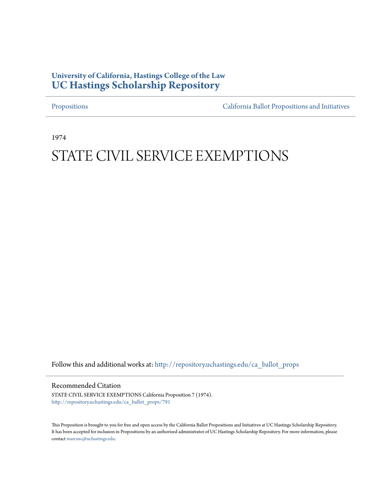## **University of California, Hastings College of the Law [UC Hastings Scholarship Repository](http://repository.uchastings.edu?utm_source=repository.uchastings.edu%2Fca_ballot_props%2F791&utm_medium=PDF&utm_campaign=PDFCoverPages)**

[Propositions](http://repository.uchastings.edu/ca_ballot_props?utm_source=repository.uchastings.edu%2Fca_ballot_props%2F791&utm_medium=PDF&utm_campaign=PDFCoverPages) [California Ballot Propositions and Initiatives](http://repository.uchastings.edu/ca_ballots?utm_source=repository.uchastings.edu%2Fca_ballot_props%2F791&utm_medium=PDF&utm_campaign=PDFCoverPages)

1974

# STATE CIVIL SERVICE EXEMPTIONS

Follow this and additional works at: [http://repository.uchastings.edu/ca\\_ballot\\_props](http://repository.uchastings.edu/ca_ballot_props?utm_source=repository.uchastings.edu%2Fca_ballot_props%2F791&utm_medium=PDF&utm_campaign=PDFCoverPages)

Recommended Citation

STATE CIVIL SERVICE EXEMPTIONS California Proposition 7 (1974). [http://repository.uchastings.edu/ca\\_ballot\\_props/791](http://repository.uchastings.edu/ca_ballot_props/791?utm_source=repository.uchastings.edu%2Fca_ballot_props%2F791&utm_medium=PDF&utm_campaign=PDFCoverPages)

This Proposition is brought to you for free and open access by the California Ballot Propositions and Initiatives at UC Hastings Scholarship Repository. It has been accepted for inclusion in Propositions by an authorized administrator of UC Hastings Scholarship Repository. For more information, please contact [marcusc@uchastings.edu](mailto:marcusc@uchastings.edu).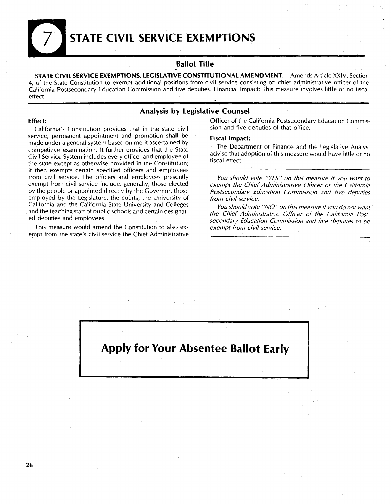**STATE CIVIL SERVICE EXEMPTIONS** 

#### **Ballot Title**

**STATE crVIL SERVICE EXEMPTIONS. LEGISLATIVE CONSTITUTIONAL AMENDMENT.** Amends Article XXIV, Section 4 of the State Constitution to exempt additional positions from civil service consisting of: chief administrative officer of the California Postsecondary Education Commission and five deputies. Financial Impact: This measure involves little or no fiscal effect. .

#### **Analysis by Legislative Counsel**

#### **Effect:**

California's Constitution provicles that in the state civil service, permanent appointment and promotion shall be made under a general system based on merit ascertained by competitive examination. It further provides that the State Civil Service System includes every officer and employee of the state except as otherwise provided in the Constitution; it then exempts certain specified officers and employees from civil service. The officers and employees presently exempt from civil service include, generally, those elected by the people or appointed directly by the Governor, those employed by the Legislature, the courts, the University of California and the California State University and Colleges and the teaching staff of public schools and certain designated deputies and employees.

This measure would amend the Constitution to also exempt from the state's civil service the Chief Administrative Officer of the California Postsecondary Education Commission and five deputies of that office.

#### **Fiscal Impact:**

The Department of Finance and the Legislative Analyst advise that adoption of this measure would have little or no fiscal effect.

You should vote "YES" on this measure if you want to exempt the Chief Administrative Officer of the California Postsecondary Education Commission and five deputies from civil service.

You should vote "NO" on this measure if you do not want the Chief· Administrative Officer of the California Postsecondary Education Commission and five deputies to be exempt from civil service.

**Apply for Your Absentee Ballot Early**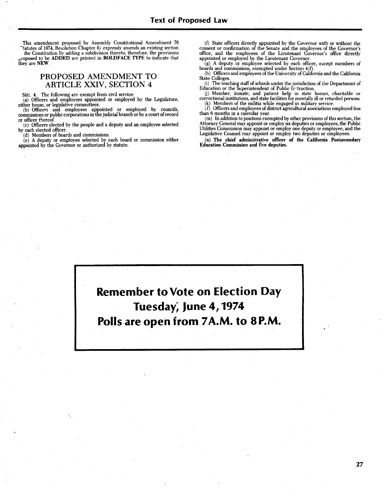This amendment proposed by Assembly Constitutional Amendment 76 'tatutes of 1974, Resolution Chapter 6) expressly amends an existing section the Constitution by adding a subdivision thereto; therefore, the provisions

 $_{\rm P}$ roposed to be ADDED are printed in BOLDFACE TYPE to indicate that they are NEW.

#### PROPOSED AMENDMENT TO ARTICLE XXIV, SECTION 4

SEC. 4. The following are exempt from civil service:

(a) Officers and employees appointed or employed by the Legislature,

either house, or legislative committees. . (b) Officers and employees appointed or employed by councils, commissions or public corporations in the judicial branch or by a court of record

or officer thereof. (c) Officers elected by the people and a deputy and an employee selected by each elected officer.

(d) Members of boards and commissions.

(e) A deputy or employee selected by each board or commission either appointed by the Governor or authorized by statute.

(f) State officers directly appointed by the Governor with or without the consent or confirmation of the Senate and the employees of the Governor's office, and the employees of the Lieutenant Governor's office directly appointed or employed by the Lieutenant Governor.

(g) A deputy or employee selected by each officer, except members of boards and commissions, exempted under Section 4(f).

(h) Officers and employees of the University of California and the California State Colleges.

(i) The teaching staff of schools under the jurisdiction of the Department of Education or the Superintendent of Public Instruction.<br>(j) Member, inmate, and patient help in state homes, charitable or

(j) Member, in<br>mate, and patient help in state homes, charitable or correctional institutions, and state facilities for mentally ill or retarded persons.<br>
(k) Members of the militia while engaged in military service.<br>
(l)

(m) In addition to positions exempted by other provisions of this section, the Attorney General may appoint or employ six deputies or employees, the Public Utilities Commission may appoint or employ one deputy or employee, and the Legislative Counsel may appoint or employ two deputies or employees.

(n) The chief administrative officer of the California Postsecondary Education Commission and five deputies,

## **Remember to Vote on Election Day Tuesday; June 4, 1974**  Polls are **open from 7 A.M. to 8 P.M.**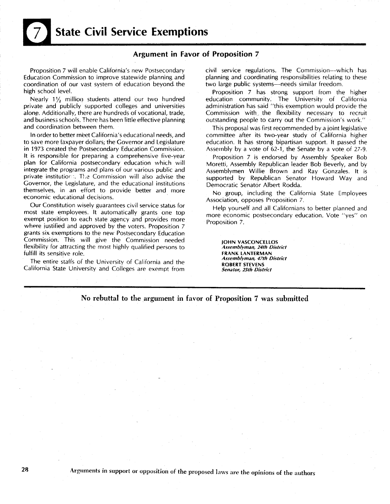**State Civil Service Exemptions** 

#### Argument in Favor of Proposition 7

Proposition 7 will enable California's new Postsecondary Education Commission to improve statewide planning and coordination of our vast system of education beyond the high school level.

Nearly 11/<sub>2</sub> million students attend our two hundred private and publicly supported colleges and universities alone. Additionally, there are hundreds of vocational, trade, and business schools. There has been little effective planning and coordination between them.

In order to better meet California's educational needs, and to save more taxpayer dollars; the Governor and Legislature in 1973 created the Postsecondary Education Commission. It is responsible for preparing a comprehensive five-year plan for California postsecondary education which will integrate the programs and plans of our various public and private institution: The Commission will also advise the Governor, the Legislature, and the educational institutions themselves, in an effort to provide better and more economic educational decisions. .

Our Constitution wisely guarantees civil service status for most state employees. It automatically grants one top exempt position to each state agency and provides more where justified and approved by the voters. Proposition 7 grants six exemptions to the new Postsecondary Education Commission. This will give the Commission needed flexibility for attracting the most highly qualified persons to fulfill its sensitive role.

The entire staffs of the University of California and the California State University and Colleges are exempt from

civil service regulations. The Commission--which has planning and coordinating responsibilities relating to these two large public systems-needs similar freedom.

Proposition 7 has strong support from the higher education community. The University of California administration has said "this exemption would provide the Commission with the flexibility necessary to recruit outstanding people to carry out the Commission's work."

This proposal was first recommended by a joint legislative committee after its two-year study of California higher education. It has strong bipartisan support. It passed the Assembly by a vote of 62-1, the Senate by a vote of 27-9.

Proposition 7 is endorsed by Assembly Speaker Bob Moretti, Assembly Republican leader Bob Beverly, and by Assemblymen Willie Brown and Ray Gonzales. It is supported by Republican Senator Howard Way and Democratic Senator Albert Rodda.

No group, including the California State Employees Association, opposes Proposition 7.

Help yourself and all Californians to better planned and more economic postsecondary education. Vote "yes" on Proposition 7.

JOHN VASCONCEllOS *Assemblyman, 24th District*  FRANK LANTERMAN *Assemblyman, 47th District*  ROBERT STEVENS *Senator, 25th District* 

### No rebuttal to the argument in favor of Proposition 7 was submitted